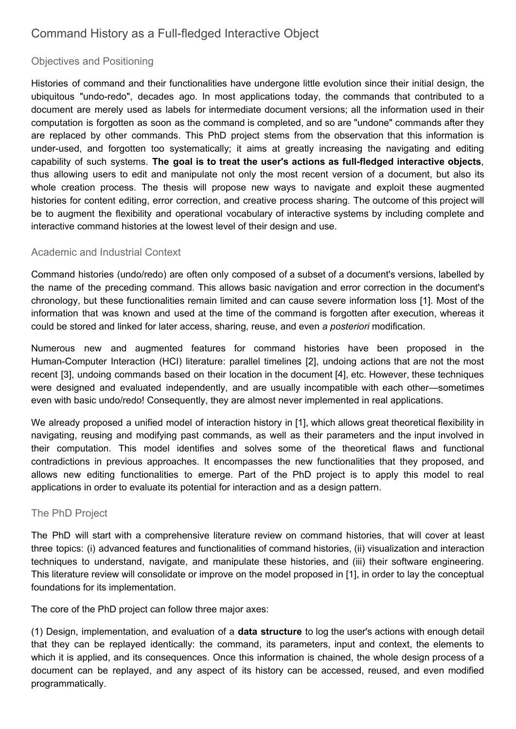## Command History as a Full-fledged Interactive Object

## Objectives and Positioning

Histories of command and their functionalities have undergone little evolution since their initial design, the ubiquitous "undo-redo", decades ago. In most applications today, the commands that contributed to a document are merely used as labels for intermediate document versions; all the information used in their computation is forgotten as soon as the command is completed, and so are "undone" commands after they are replaced by other commands. This PhD project stems from the observation that this information is under-used, and forgotten too systematically; it aims at greatly increasing the navigating and editing capability of such systems. **The goal is to treat the user's actions as full-fledged interactive objects**, thus allowing users to edit and manipulate not only the most recent version of a document, but also its whole creation process. The thesis will propose new ways to navigate and exploit these augmented histories for content editing, error correction, and creative process sharing. The outcome of this project will be to augment the flexibility and operational vocabulary of interactive systems by including complete and interactive command histories at the lowest level of their design and use.

## Academic and Industrial Context

Command histories (undo/redo) are often only composed of a subset of a document's versions, labelled by the name of the preceding command. This allows basic navigation and error correction in the document's chronology, but these functionalities remain limited and can cause severe information loss [1]. Most of the information that was known and used at the time of the command is forgotten after execution, whereas it could be stored and linked for later access, sharing, reuse, and even *a posteriori* modification.

Numerous new and augmented features for command histories have been proposed in the Human-Computer Interaction (HCI) literature: parallel timelines [2], undoing actions that are not the most recent [3], undoing commands based on their location in the document [4], etc. However, these techniques were designed and evaluated independently, and are usually incompatible with each other—sometimes even with basic undo/redo! Consequently, they are almost never implemented in real applications.

We already proposed a unified model of interaction history in [1], which allows great theoretical flexibility in navigating, reusing and modifying past commands, as well as their parameters and the input involved in their computation. This model identifies and solves some of the theoretical flaws and functional contradictions in previous approaches. It encompasses the new functionalities that they proposed, and allows new editing functionalities to emerge. Part of the PhD project is to apply this model to real applications in order to evaluate its potential for interaction and as a design pattern.

## The PhD Project

The PhD will start with a comprehensive literature review on command histories, that will cover at least three topics: (i) advanced features and functionalities of command histories, (ii) visualization and interaction techniques to understand, navigate, and manipulate these histories, and (iii) their software engineering. This literature review will consolidate or improve on the model proposed in [1], in order to lay the conceptual foundations for its implementation.

The core of the PhD project can follow three major axes:

(1) Design, implementation, and evaluation of a **data structure** to log the user's actions with enough detail that they can be replayed identically: the command, its parameters, input and context, the elements to which it is applied, and its consequences. Once this information is chained, the whole design process of a document can be replayed, and any aspect of its history can be accessed, reused, and even modified programmatically.